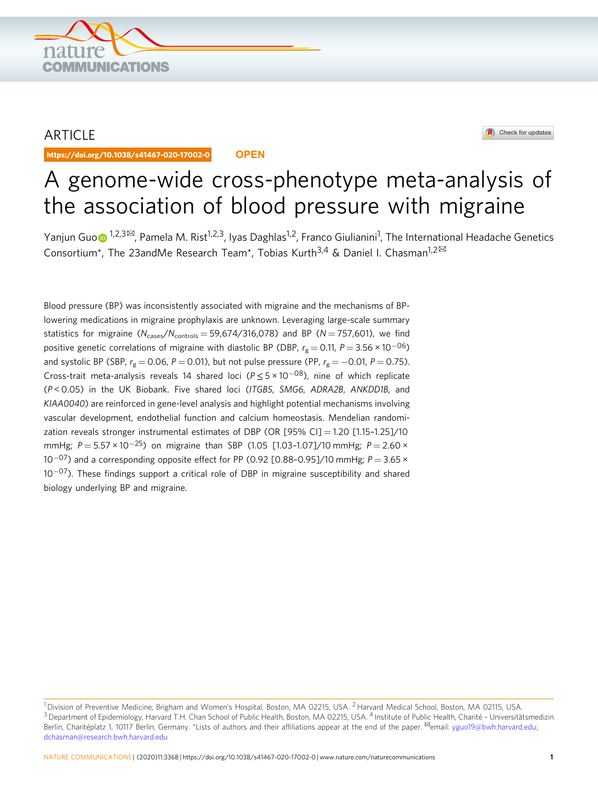

# ARTICLE

https://doi.org/10.1038/s41467-020-17002-0 **OPEN**



# A genome-wide cross-phenotype meta-analysis of the association of blood pressure with migraine

Yanjun Gu[o](http://orcid.org/0000-0002-5927-778X)⊕ <sup>1,2,3⊠</sup>, Pamela M. Rist<sup>1,2,3</sup>, Iyas Daghlas<sup>1,2</sup>, Franco Giulianini<sup>1</sup>, The International Headache Genetics Consortium\*, The 23andMe Research Team\*, Tobias Kurth<sup>3,4</sup> & Daniel I. Chasman<sup>1,2 $\boxtimes$ </sup>

Blood pressure (BP) was inconsistently associated with migraine and the mechanisms of BPlowering medications in migraine prophylaxis are unknown. Leveraging large-scale summary statistics for migraine  $(N_{\text{cases}}/N_{\text{controls}} = 59,674/316,078)$  and BP ( $N = 757,601$ ), we find positive genetic correlations of migraine with diastolic BP (DBP,  $r_g = 0.11$ ,  $P = 3.56 \times 10^{-06}$ ) and systolic BP (SBP,  $r_g = 0.06$ , P = 0.01), but not pulse pressure (PP,  $r_g = -0.01$ , P = 0.75). Cross-trait meta-analysis reveals 14 shared loci ( $P \le 5 \times 10^{-08}$ ), nine of which replicate (P < 0.05) in the UK Biobank. Five shared loci (ITGB5, SMG6, ADRA2B, ANKDD1B, and KIAA0040) are reinforced in gene-level analysis and highlight potential mechanisms involving vascular development, endothelial function and calcium homeostasis. Mendelian randomization reveals stronger instrumental estimates of DBP (OR [95% CI] = 1.20 [1.15–1.25]/10 mmHg;  $P = 5.57 \times 10^{-25}$ ) on migraine than SBP (1.05 [1.03-1.07]/10 mmHg;  $P = 2.60 \times$  $10^{-07}$ ) and a corresponding opposite effect for PP (0.92 [0.88-0.95]/10 mmHg;  $P = 3.65 \times 10^{-07}$ 10<sup>-07</sup>). These findings support a critical role of DBP in migraine susceptibility and shared biology underlying BP and migraine.

<sup>&</sup>lt;sup>1</sup> Division of Preventive Medicine, Brigham and Women's Hospital, Boston, MA 02215, USA, <sup>2</sup> Harvard Medical School, Boston, MA 02115, USA. <sup>3</sup> Department of Epidemiology, Harvard T.H. Chan School of Public Health, Boston, MA 02215, USA. <sup>4</sup> Institute of Public Health, Charité - Universitätsmedizin Berlin, Charitéplatz 1, 10117 Berlin, Germany. \*Lists of authors and their affiliations appear at the end of the paper. <sup>⊠</sup>email: [yguo19@bwh.harvard.edu](mailto:yguo19@bwh.harvard.edu); [dchasman@research.bwh.harvard.edu](mailto:dchasman@research.bwh.harvard.edu)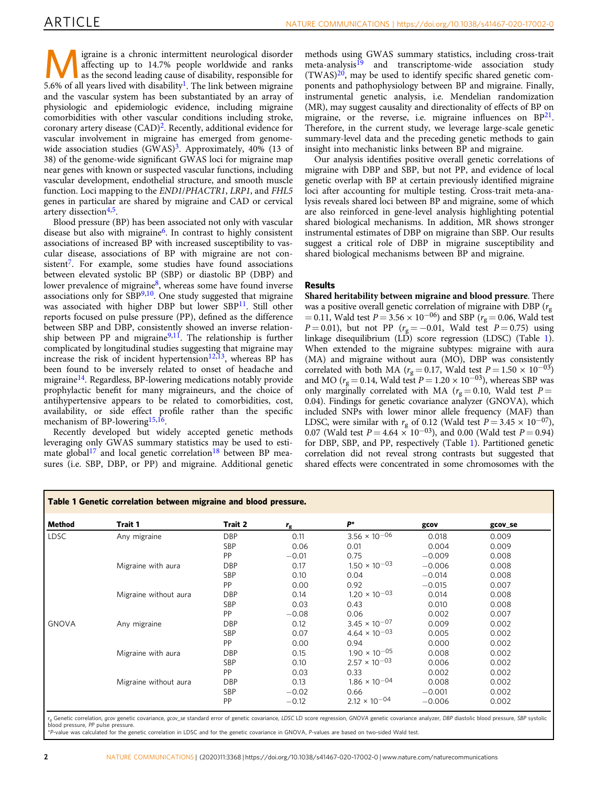Igraine is a chronic intermittent neurological disorder<br>as the second leading cause of disability, responsible for<br> $\frac{5.6\%}{2}$  of all vegens lived with disability. The link between migrains affecting up to 14.7% people worldwide and ranks 5.6% of all years lived with disability<sup>[1](#page-7-0)</sup>. The link between migraine and the vascular system has been substantiated by an array of physiologic and epidemiologic evidence, including migraine comorbidities with other vascular conditions including stroke, coronary artery disease  $(CAD)^2$  $(CAD)^2$ . Recently, additional evidence for vascular involvement in migraine has emerged from genomewide association studies  $(GWAS)^3$  $(GWAS)^3$ . Approximately, 40% (13 of 38) of the genome-wide significant GWAS loci for migraine map near genes with known or suspected vascular functions, including vascular development, endothelial structure, and smooth muscle function. Loci mapping to the END1/PHACTR1, LRP1, and FHL5 genes in particular are shared by migraine and CAD or cervical artery dissection<sup>4,5</sup>.

Blood pressure (BP) has been associated not only with vascular disease but also with migraine<sup>6</sup>. In contrast to highly consistent associations of increased BP with increased susceptibility to vascular disease, associations of BP with migraine are not con-sistent<sup>[7](#page-7-0)</sup>. For example, some studies have found associations between elevated systolic BP (SBP) or diastolic BP (DBP) and lower prevalence of migraine<sup>[8](#page-7-0)</sup>, whereas some have found inverse associations only for  $SBP^{9,10}$  $SBP^{9,10}$  $SBP^{9,10}$ . One study suggested that migraine was associated with higher DBP but lower SBP<sup>[11](#page-7-0)</sup>. Still other reports focused on pulse pressure (PP), defined as the difference between SBP and DBP, consistently showed an inverse relation-ship between PP and migraine<sup>[9,11](#page-7-0)</sup>. The relationship is further complicated by longitudinal studies suggesting that migraine may increase the risk of incident hypertension $12,13$ , whereas BP has been found to be inversely related to onset of headache and migraine<sup>[14](#page-7-0)</sup>. Regardless, BP-lowering medications notably provide prophylactic benefit for many migraineurs, and the choice of antihypertensive appears to be related to comorbidities, cost, availability, or side effect profile rather than the specific mechanism of BP-lowering<sup>[15](#page-7-0),[16](#page-7-0)</sup>.

Recently developed but widely accepted genetic methods leveraging only GWAS summary statistics may be used to esti-mate global<sup>[17](#page-7-0)</sup> and local genetic correlation<sup>[18](#page-7-0)</sup> between BP measures (i.e. SBP, DBP, or PP) and migraine. Additional genetic methods using GWAS summary statistics, including cross-trait meta-analysis<sup>[19](#page-8-0)</sup> and transcriptome-wide association study  $(TWAS)^{20}$  $(TWAS)^{20}$  $(TWAS)^{20}$ , may be used to identify specific shared genetic components and pathophysiology between BP and migraine. Finally, instrumental genetic analysis, i.e. Mendelian randomization (MR), may suggest causality and directionality of effects of BP on migraine, or the reverse, i.e. migraine influences on  $BP^{21}$ . Therefore, in the current study, we leverage large-scale genetic summary-level data and the preceding genetic methods to gain insight into mechanistic links between BP and migraine.

Our analysis identifies positive overall genetic correlations of migraine with DBP and SBP, but not PP, and evidence of local genetic overlap with BP at certain previously identified migraine loci after accounting for multiple testing. Cross-trait meta-analysis reveals shared loci between BP and migraine, some of which are also reinforced in gene-level analysis highlighting potential shared biological mechanisms. In addition, MR shows stronger instrumental estimates of DBP on migraine than SBP. Our results suggest a critical role of DBP in migraine susceptibility and shared biological mechanisms between BP and migraine.

## Results

Shared heritability between migraine and blood pressure. There was a positive overall genetic correlation of migraine with DBP ( $r<sub>g</sub>$ = 0.11, Wald test  $P = 3.56 \times 10^{-06}$ ) and SBP ( $r_g = 0.06$ , Wald test  $P = 0.01$ ), but not PP ( $r<sub>g</sub> = -0.01$ , Wald test  $P = 0.75$ ) using linkage disequilibrium (LD) score regression (LDSC) (Table 1). When extended to the migraine subtypes: migraine with aura (MA) and migraine without aura (MO), DBP was consistently correlated with both MA ( $r_g = 0.17$ , Wald test  $P = 1.50 \times 10^{-03}$ ) and MO ( $r_g = 0.14$ , Wald test  $P = 1.20 \times 10^{-03}$ ), whereas SBP was only marginally correlated with MA ( $r<sub>g</sub> = 0.10$ , Wald test P = 0.04). Findings for genetic covariance analyzer (GNOVA), which included SNPs with lower minor allele frequency (MAF) than LDSC, were similar with  $r_g$  of 0.12 (Wald test  $P = 3.45 \times 10^{-07}$ ), 0.07 (Wald test  $P = 4.64 \times 10^{-03}$ ), and 0.00 (Wald test  $P = 0.94$ ) for DBP, SBP, and PP, respectively (Table 1). Partitioned genetic correlation did not reveal strong contrasts but suggested that shared effects were concentrated in some chromosomes with the

| Method       | Trait 1               | Trait 2    | $r_{\rm g}$ | $P^{\star}$            | gcov     | gcov_se |
|--------------|-----------------------|------------|-------------|------------------------|----------|---------|
| <b>LDSC</b>  | Any migraine          | <b>DBP</b> | 0.11        | $3.56 \times 10^{-06}$ | 0.018    | 0.009   |
|              |                       | <b>SBP</b> | 0.06        | 0.01                   | 0.004    | 0.009   |
|              |                       | PP         | $-0.01$     | 0.75                   | $-0.009$ | 0.008   |
|              | Migraine with aura    | <b>DBP</b> | 0.17        | $1.50 \times 10^{-03}$ | $-0.006$ | 0.008   |
|              |                       | <b>SBP</b> | 0.10        | 0.04                   | $-0.014$ | 0.008   |
|              |                       | PP         | 0.00        | 0.92                   | $-0.015$ | 0.007   |
|              | Migraine without aura | <b>DBP</b> | 0.14        | $1.20 \times 10^{-03}$ | 0.014    | 0.008   |
|              |                       | SBP        | 0.03        | 0.43                   | 0.010    | 0.008   |
|              |                       | PP         | $-0.08$     | 0.06                   | 0.002    | 0.007   |
| <b>GNOVA</b> | Any migraine          | <b>DBP</b> | 0.12        | $3.45 \times 10^{-07}$ | 0.009    | 0.002   |
|              |                       | <b>SBP</b> | 0.07        | $4.64 \times 10^{-03}$ | 0.005    | 0.002   |
|              |                       | PP         | 0.00        | 0.94                   | 0.000    | 0.002   |
|              | Migraine with aura    | <b>DBP</b> | 0.15        | $1.90 \times 10^{-05}$ | 0.008    | 0.002   |
|              |                       | SBP        | 0.10        | $2.57 \times 10^{-03}$ | 0.006    | 0.002   |
|              |                       | PP         | 0.03        | 0.33                   | 0.002    | 0.002   |
|              | Migraine without aura | <b>DBP</b> | 0.13        | $1.86 \times 10^{-04}$ | 0.008    | 0.002   |
|              |                       | <b>SBP</b> | $-0.02$     | 0.66                   | $-0.001$ | 0.002   |
|              |                       | PP         | $-0.12$     | $2.12 \times 10^{-04}$ | $-0.006$ | 0.002   |

r<sub>g</sub> Genetic correlation, gcov genetic covariance, gcov\_se standard error of genetic covariance, LDSC LD score regression, GNOVA genetic covariance analyzer, DBP diastolic blood pressure, SBP systolic<br>blood pressure, PP pu blood pressure, PP pulse pressure.<br>\*P-value was calculated for the genetic correlation in LDSC and for the genetic covariance in GNOVA, P-values are based on two-sided Wald test.<br>"P-value was calculated for the genetic cor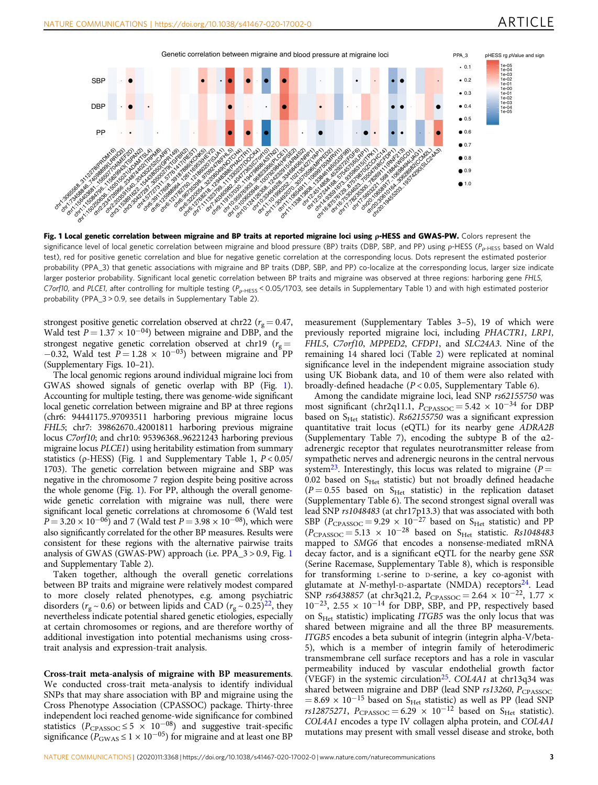

Fig. 1 Local genetic correlation between migraine and BP traits at reported migraine loci using ρ-HESS and GWAS-PW. Colors represent the significance level of local genetic correlation between migraine and blood pressure (BP) traits (DBP, SBP, and PP) using ρ-HESS (P<sub>ρ-HESS</sub> based on Wald test), red for positive genetic correlation and blue for negative genetic correlation at the corresponding locus. Dots represent the estimated posterior probability (PPA\_3) that genetic associations with migraine and BP traits (DBP, SBP, and PP) co-localize at the corresponding locus, larger size indicate larger posterior probability. Significant local genetic correlation between BP traits and migraine was observed at three regions: harboring gene FHL5, C7orf10, and PLCE1, after controlling for multiple testing ( $P_{p-HESS}$  < 0.05/1703, see details in Supplementary Table 1) and with high estimated posterior probability (PPA\_3 > 0.9, see details in Supplementary Table 2).

strongest positive genetic correlation observed at chr22 ( $r<sub>g</sub> = 0.47$ , Wald test  $P = 1.37 \times 10^{-04}$ ) between migraine and DBP, and the strongest negative genetic correlation observed at chr19 ( $r_g$  =  $-0.32$ , Wald test  $P = 1.28 \times 10^{-03}$ ) between migraine and PP (Supplementary Figs. 10–21).

The local genomic regions around individual migraine loci from GWAS showed signals of genetic overlap with BP (Fig. 1). Accounting for multiple testing, there was genome-wide significant local genetic correlation between migraine and BP at three regions (chr6: 94441175..97093511 harboring previous migraine locus FHL5; chr7: 39862670..42001811 harboring previous migraine locus C7orf10; and chr10: 95396368..96221243 harboring previous migraine locus PLCE1) using heritability estimation from summary statistics ( $\rho$ -HESS) (Fig. 1 and Supplementary Table 1,  $P < 0.05$ / 1703). The genetic correlation between migraine and SBP was negative in the chromosome 7 region despite being positive across the whole genome (Fig. 1). For PP, although the overall genomewide genetic correlation with migraine was null, there were significant local genetic correlations at chromosome 6 (Wald test  $P = 3.20 \times 10^{-06}$  and 7 (Wald test  $P = 3.98 \times 10^{-08}$ ), which were also significantly correlated for the other BP measures. Results were consistent for these regions with the alternative pairwise traits analysis of GWAS (GWAS-PW) approach (i.e. PPA\_3 > 0.9, Fig. 1 and Supplementary Table 2).

Taken together, although the overall genetic correlations between BP traits and migraine were relatively modest compared to more closely related phenotypes, e.g. among psychiatric disorders ( $r_g \sim 0.6$ ) or between lipids and CAD ( $r_g \sim 0.25$ )<sup>22</sup>, they nevertheless indicate potential shared genetic etiologies, especially at certain chromosomes or regions, and are therefore worthy of additional investigation into potential mechanisms using crosstrait analysis and expression-trait analysis.

Cross-trait meta-analysis of migraine with BP measurements. We conducted cross-trait meta-analysis to identify individual SNPs that may share association with BP and migraine using the Cross Phenotype Association (CPASSOC) package. Thirty-three independent loci reached genome-wide significance for combined statistics ( $P_{CPASSOC} \le 5 \times 10^{-08}$ ) and suggestive trait-specific significance ( $P_{\text{GWAS}} \leq 1 \times 10^{-05}$ ) for migraine and at least one BP

measurement (Supplementary Tables 3–5), 19 of which were previously reported migraine loci, including PHACTR1, LRP1, FHL5, C7orf10, MPPED2, CFDP1, and SLC24A3. Nine of the remaining 14 shared loci (Table [2\)](#page-3-0) were replicated at nominal significance level in the independent migraine association study using UK Biobank data, and 10 of them were also related with broadly-defined headache ( $P < 0.05$ , Supplementary Table 6).

Among the candidate migraine loci, lead SNP rs62155750 was most significant (chr2q11.1,  $P_{CPASSOC} = 5.42 \times 10^{-34}$  for DBP based on  $S<sub>Het</sub>$  statistic). Rs62155750 was a significant expression quantitative trait locus (eQTL) for its nearby gene ADRA2B (Supplementary Table 7), encoding the subtype B of the α2 adrenergic receptor that regulates neurotransmitter release from sympathetic nerves and adrenergic neurons in the central nervous system<sup>23</sup>. Interestingly, this locus was related to migraine ( $P =$  $0.02$  based on  $S<sub>Het</sub>$  statistic) but not broadly defined headache  $(P = 0.55$  based on S<sub>Het</sub> statistic) in the replication dataset (Supplementary Table 6). The second strongest signal overall was lead SNP rs1048483 (at chr17p13.3) that was associated with both SBP ( $P_{\text{CPASSOC}} = 9.29 \times 10^{-27}$  based on S<sub>Het</sub> statistic) and PP  $(P_{\text{CPASSOC}} = 5.13 \times 10^{-28}$  based on S<sub>Het</sub> statistic. Rs1048483 mapped to SMG6 that encodes a nonsense-mediated mRNA decay factor, and is a significant eQTL for the nearby gene SSR (Serine Racemase, Supplementary Table 8), which is responsible for transforming <sup>L</sup>‐serine to <sup>D</sup>‐serine, a key co-agonist with glutamate at N-methyl-D-aspartate (NMDA) receptors<sup>24</sup>. Lead SNP rs6438857 (at chr3q21.2,  $P_{\text{CPASSOC}} = 2.64 \times 10^{-22}$ , 1.77 ×  $10^{-23}$ , 2.55 ×  $10^{-14}$  for DBP, SBP, and PP, respectively based on  $S_{\text{Het}}$  statistic) implicating *ITGB5* was the only locus that was shared between migraine and all the three BP measurements. ITGB5 encodes a beta subunit of integrin (integrin alpha-V/beta-5), which is a member of integrin family of heterodimeric transmembrane cell surface receptors and has a role in vascular permeability induced by vascular endothelial growth factor (VEGF) in the systemic circulation<sup>25</sup>. COL4A1 at chr13q34 was shared between migraine and DBP (lead SNP  $rs13260$ ,  $P_{CPASSOC}$  $= 8.69 \times 10^{-15}$  based on S<sub>Het</sub> statistic) as well as PP (lead SNP rs12875271,  $P_{CPASSOC} = 6.29 \times 10^{-12}$  based on S<sub>Het</sub> statistic). COL4A1 encodes a type IV collagen alpha protein, and COL4A1 mutations may present with small vessel disease and stroke, both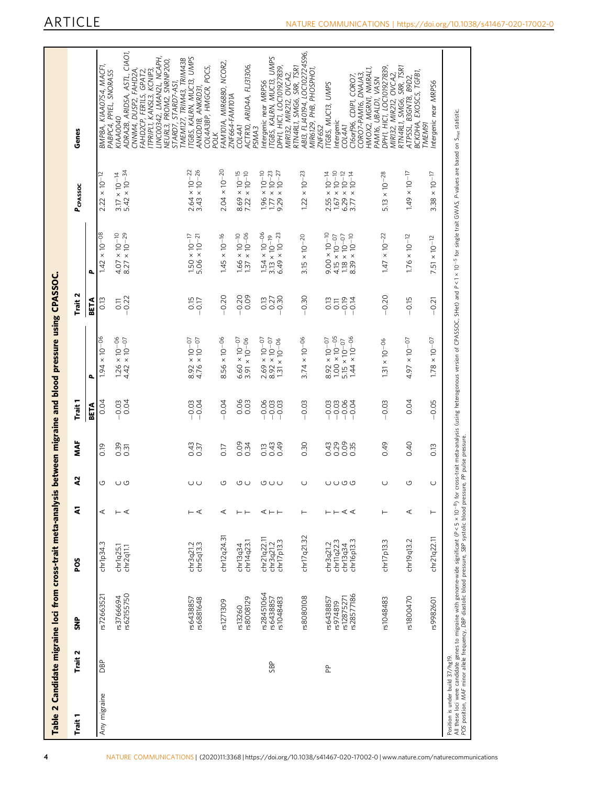<span id="page-3-0"></span>

| ٠<br>Trait   | Trait 2             | ទី<br>ទី               | <b>POS</b>             | 2                                                                                        | S              | Š                   | Trait 1                      |                                                                       | Trait 2                       |                                                                             | PCPASSOC                                                                    | Genes                                                                           |
|--------------|---------------------|------------------------|------------------------|------------------------------------------------------------------------------------------|----------------|---------------------|------------------------------|-----------------------------------------------------------------------|-------------------------------|-----------------------------------------------------------------------------|-----------------------------------------------------------------------------|---------------------------------------------------------------------------------|
|              |                     |                        |                        |                                                                                          |                |                     | <b>BETA</b>                  | $\overline{a}$                                                        | BETA                          | ٩                                                                           |                                                                             |                                                                                 |
| Any migraine | DBP                 | rs72663521             | chr1p34.3              | ⋖                                                                                        | O              | 0.19                | 0.04                         | $\times 10^{-06}$<br>1.94                                             | 0.13                          | $\times 10^{-08}$<br>1.42                                                   | $\frac{1}{2}$<br>$\times 10^{-1}$<br>2.22                                   | BMP8A, KIAA0754, MACF1,<br>PABPC4, PPIEL, SNORA55                               |
|              |                     | rs3766694              | chr1q25.1              | $\vdash \sphericalangle$                                                                 | $\cup$ $\cup$  | 0.39<br>0.31        | 0.04                         | $1.26 \times 10^{-06}$<br>4.42 × 10-07                                | $\overline{0}$ .              | $4.07 \times 10^{-10}$<br>8.27 $\times 10^{-29}$                            | $3.17 \times 10^{-14}$<br>$5.42 \times 10^{-34}$                            | KIAA0040                                                                        |
|              |                     | rs62155750             | chr2q11.1              |                                                                                          |                |                     |                              |                                                                       | 0.22                          |                                                                             |                                                                             | CIAO1,<br>CNNM4, DUSP2, FAHD2A,<br>ADRA2B, ARIDSA, ASTL,                        |
|              |                     |                        |                        |                                                                                          |                |                     |                              |                                                                       |                               |                                                                             |                                                                             | FAHD2CP, FERILS, GPAT2,                                                         |
|              |                     |                        |                        |                                                                                          |                |                     |                              |                                                                       |                               |                                                                             |                                                                             | LINCOO342, LMAN2L, NCAPH,<br>TPRIPL1, KANSL3, KCNIP3,                           |
|              |                     |                        |                        |                                                                                          |                |                     |                              |                                                                       |                               |                                                                             |                                                                             | NEURL3, PROM2, SNRNP200,                                                        |
|              |                     |                        |                        |                                                                                          |                |                     |                              |                                                                       |                               |                                                                             |                                                                             | STARD7, STARD7-AS1,<br>TMEM127, TRIM43, TRIM43B                                 |
|              |                     | rs6438857<br>rs6881648 | chr3q21.2<br>chr5q13.3 | $\vdash$ $\triangleleft$                                                                 | ပပ             | 0.37                | $-0.03$                      | $\times 10^{-07}$<br>$8.92 \times 10^{-07}$<br>4.76 $\times 10^{-07}$ | $rac{15}{0.17}$               | $1.50 \times 10^{-17}$<br>5.06 × 10 <sup>-21</sup>                          | $2.64 \times 10^{-22}$<br>3.43 $\times 10^{-26}$                            | ITGBS, KALRN, MUC13, UMPS<br>ANKDD1B, ANKRD31,                                  |
|              |                     |                        |                        |                                                                                          |                |                     |                              |                                                                       |                               |                                                                             |                                                                             | COL4A3BP, HMGCR, POC5,<br>POLK                                                  |
|              |                     | rs1271309              | chr12q24.31            | ⋖                                                                                        | O              | 0.17                | 0.04                         | $-56 \times 10^{-06}$<br>∞                                            | 0.20                          | $1.45 \times 10^{-16}$                                                      | $2.04 \times 10^{-20}$                                                      | FAM101A, MIR6880, NCOR2,                                                        |
|              |                     | rs13260                | chr13q34               | $\vdash$ $\vdash$                                                                        |                | 0.34                | 0.03                         | $\frac{6.60 \times 10^{-07}}{3.91 \times 10^{-06}}$                   | $-0.20$                       |                                                                             | $0.00 - 0.0$<br>x 10-10                                                     | ZNF664-FAM101A<br><b>COL4A1</b>                                                 |
|              |                     | rs8008129              | chr14q23.1             |                                                                                          | ு ப            |                     |                              |                                                                       | 0.09                          | $\begin{array}{c} 1.66 \times 10^{-10} \\ 1.37 \times 10^{-06} \end{array}$ | 8.69                                                                        | ACTRIO, ARID4A, FLJ31306,<br>PSMA3                                              |
|              |                     | rs28451064             | chr21q22.11            |                                                                                          |                |                     |                              | $2.69 \times 10^{-07}$<br>8.92 $\times 10^{-07}$                      | 0.13                          | $1.54 \times 10^{-06}$                                                      | $\begin{array}{c} 1.96 \times 10^{-10} \\ 1.77 \times 10^{-23} \end{array}$ | Intergenic near MRPS6                                                           |
|              | SBP                 | rs6438857              | chr3q21.2              | ⋖⊢⊢                                                                                      | UUU            | 0.43<br>0.43        | $8880$<br>$-0.03$<br>$-0.03$ |                                                                       | 0.27                          | $3.13 \times 10^{-19}$                                                      |                                                                             | TGBS, KALRN, MUC13, UMPS                                                        |
|              |                     | rs1048483              | chr17p13.3             |                                                                                          |                |                     |                              | $\times$ 10–06<br>131                                                 | 0.30                          | $6.49 \times 10^{-23}$                                                      | $\times$ 10–27<br>9.29                                                      | MIR132, MIR212, OVCA2,<br>RTN4RL1, SMG6, SRR, TSR1<br>DPH1, HIC1, LOC101927839, |
|              |                     |                        |                        |                                                                                          |                |                     |                              |                                                                       |                               |                                                                             |                                                                             |                                                                                 |
|              |                     | rs8080108              | chr17q21.32            | ⊢                                                                                        | $\cup$         | 0.30                | 0.03                         | $3.74 \times 10^{-06}$                                                | 0.30                          | $3.15 \times 10^{-20}$                                                      | $-23$<br>$\times 10^{-}$<br>1.22                                            | ABI3, FLJ40194, LOC102724596,<br>MIR6129, PHB, PHOSPHOT                         |
|              |                     |                        |                        |                                                                                          |                |                     |                              |                                                                       |                               |                                                                             |                                                                             | ZNF652                                                                          |
|              | $\frac{\rho}{\rho}$ | rs6438857              | chr3q21.2              |                                                                                          |                | 0.43                | $-0.03$                      | $8.92 \times 10^{-07}$                                                | 0.13                          | $9.00 \times 10^{-10}$                                                      | $\times$ 10–14<br>2.55                                                      | ITGBS, MUC13, UMPS                                                              |
|              |                     | rs12875271<br>rs974819 | chr11q22.3<br>chr13q34 | $\vdash\vdash \; \mathrel{\mathrel{\triangleleft}} \; \mathrel{\mathrel{\triangleleft}}$ | <b>し し の の</b> | 0.29<br>0.09<br>0.0 | $-0.03$<br>$-0.04$           | $1.00 \times 10^{-05}$<br>$5.15 \times 10^{-07}$                      | 0.19<br>$\overline{0}$ .<br>Т | $\begin{array}{c} 4.15 \times 10^{-07} \\ 1.18 \times 10^{-07} \end{array}$ | $\times$ 10–10 $\times$                                                     | Intergenic<br><b>COL4A1</b>                                                     |
|              |                     | s28577186              | chr16p13.3             |                                                                                          |                |                     |                              | $1.44 \times 10^{-06}$                                                | 0.14                          | $8.39 \times 10^{-10}$                                                      | $6.29 \times 10^{-12}$<br>3.77 $\times 10^{-14}$                            | C16orf96, CDIP1, CORO7                                                          |
|              |                     |                        |                        |                                                                                          |                |                     |                              |                                                                       |                               |                                                                             |                                                                             | HMOX2, MGRN1, NMRAL1,<br>CORO7-PAM16, DNAJA3,                                   |
|              |                     |                        |                        |                                                                                          |                |                     |                              |                                                                       |                               |                                                                             |                                                                             | PAM16, UBALDI, VASN                                                             |
|              |                     | rs1048483              | chr17p13.3             | Н                                                                                        | $\cup$         | 0.49                | 0.03                         | $1.31 \times 10^{-06}$                                                | $-0.20$                       | $1.47 \times 10^{-22}$                                                      | $5.13 \times 10^{-28}$                                                      | DPH1, HIC1, LOC101927839,                                                       |
|              |                     |                        |                        |                                                                                          |                |                     |                              |                                                                       |                               |                                                                             |                                                                             | MIR132, MIR212, OVCA2,<br>RTN4RL1, SMG6, SRR, TSR1                              |
|              |                     | rs1800470              | chr19q13.2             | ⋖                                                                                        | G              | 0.40                | 0.04                         | $4.97 \times 10^{-07}$                                                | 0.15                          | $1.76 \times 10^{-12}$                                                      | $1.49 \times 10^{-17}$                                                      | ATPSSL, B3GNT8, B9D2,                                                           |
|              |                     |                        |                        |                                                                                          |                |                     |                              |                                                                       |                               |                                                                             |                                                                             | BCKDHA, EXOSCS, TGFB1<br><b>TMEM91</b>                                          |
|              |                     | rs9982601              | chr21q22.11            | ⊢                                                                                        | $\cup$         | 0.13                | 0.05                         | $1.78 \times 10^{-07}$                                                | $-0.21$                       | $\times$ 10–12<br>5                                                         | $\kappa$ 10–17<br>3.38                                                      | ntergenic near MRPS6                                                            |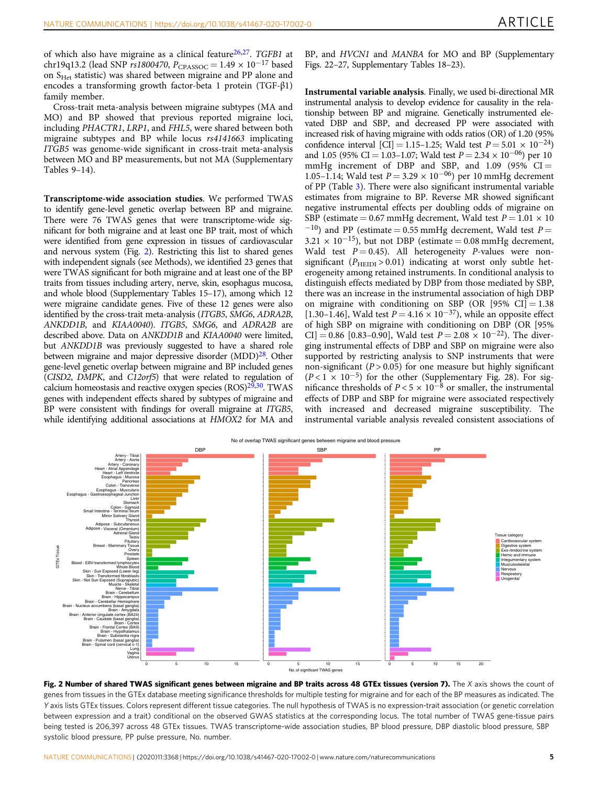of which also have migraine as a clinical feature<sup>26,27</sup>. TGFB1 at chr19q13.2 (lead SNP rs1800470,  $P_{CPASSOC} = 1.49 \times 10^{-17}$  based on S<sub>Het</sub> statistic) was shared between migraine and PP alone and encodes a transforming growth factor-beta 1 protein (TGF-β1) family member.

Cross-trait meta-analysis between migraine subtypes (MA and MO) and BP showed that previous reported migraine loci, including PHACTR1, LRP1, and FHL5, were shared between both migraine subtypes and BP while locus rs4141663 implicating ITGB5 was genome-wide significant in cross-trait meta-analysis between MO and BP measurements, but not MA (Supplementary Tables 9–14).

Transcriptome-wide association studies. We performed TWAS to identify gene-level genetic overlap between BP and migraine. There were 76 TWAS genes that were transcriptome-wide significant for both migraine and at least one BP trait, most of which were identified from gene expression in tissues of cardiovascular and nervous system (Fig. 2). Restricting this list to shared genes with independent signals (see Methods), we identified 23 genes that were TWAS significant for both migraine and at least one of the BP traits from tissues including artery, nerve, skin, esophagus mucosa, and whole blood (Supplementary Tables 15–17), among which 12 were migraine candidate genes. Five of these 12 genes were also identified by the cross-trait meta-analysis (ITGB5, SMG6, ADRA2B, ANKDD1B, and KIAA0040). ITGB5, SMG6, and ADRA2B are described above. Data on ANKDD1B and KIAA0040 were limited, but ANKDD1B was previously suggested to have a shared role between migraine and major depressive disorder (MDD)<sup>28</sup>. Other gene-level genetic overlap between migraine and BP included genes (CISD2, DMPK, and C12orf5) that were related to regulation of calcium homeostasis and reactive oxygen species (ROS)<sup>29,30</sup>. TWAS genes with independent effects shared by subtypes of migraine and BP were consistent with findings for overall migraine at ITGB5, while identifying additional associations at HMOX2 for MA and

BP, and HVCN1 and MANBA for MO and BP (Supplementary Figs. 22–27, Supplementary Tables 18–23).

Instrumental variable analysis. Finally, we used bi-directional MR instrumental analysis to develop evidence for causality in the relationship between BP and migraine. Genetically instrumented elevated DBP and SBP, and decreased PP were associated with increased risk of having migraine with odds ratios (OR) of 1.20 (95% confidence interval [CI] = 1.15–1.25; Wald test  $P = 5.01 \times 10^{-24}$ ) and 1.05 (95% CI = 1.03–1.07; Wald test  $P = 2.34 \times 10^{-06}$ ) per 10 mmHg increment of DBP and SBP, and  $1.09$  (95%  $CI =$ 1.05–1.14; Wald test  $P = 3.29 \times 10^{-06}$ ) per 10 mmHg decrement of PP (Table [3\)](#page-5-0). There were also significant instrumental variable estimates from migraine to BP. Reverse MR showed significant negative instrumental effects per doubling odds of migraine on SBP (estimate = 0.67 mmHg decrement, Wald test  $P = 1.01 \times 10$ 

 $^{-10}$ ) and PP (estimate = 0.55 mmHg decrement, Wald test P =  $3.21 \times 10^{-15}$ ), but not DBP (estimate = 0.08 mmHg decrement, Wald test  $P = 0.45$ ). All heterogeneity P-values were nonsignificant ( $P_{\text{HEIDI}} > 0.01$ ) indicating at worst only subtle heterogeneity among retained instruments. In conditional analysis to distinguish effects mediated by DBP from those mediated by SBP, there was an increase in the instrumental association of high DBP on migraine with conditioning on SBP (OR [95% CI] = 1.38 [1.30–1.46], Wald test  $P = 4.16 \times 10^{-37}$ ), while an opposite effect of high SBP on migraine with conditioning on DBP (OR [95% CI] = 0.86 [0.83–0.90], Wald test  $P = 2.08 \times 10^{-22}$ ). The diverging instrumental effects of DBP and SBP on migraine were also supported by restricting analysis to SNP instruments that were non-significant ( $P > 0.05$ ) for one measure but highly significant  $(P < 1 \times 10^{-5})$  for the other (Supplementary Fig. 28). For significance thresholds of  $P < 5 \times 10^{-8}$  or smaller, the instrumental effects of DBP and SBP for migraine were associated respectively with increased and decreased migraine susceptibility. The instrumental variable analysis revealed consistent associations of



Fig. 2 Number of shared TWAS significant genes between migraine and BP traits across 48 GTEx tissues (version 7). The X axis shows the count of genes from tissues in the GTEx database meeting significance thresholds for multiple testing for migraine and for each of the BP measures as indicated. The Y axis lists GTEx tissues. Colors represent different tissue categories. The null hypothesis of TWAS is no expression-trait association (or genetic correlation between expression and a trait) conditional on the observed GWAS statistics at the corresponding locus. The total number of TWAS gene-tissue pairs being tested is 206,397 across 48 GTEx tissues. TWAS transcriptome-wide association studies, BP blood pressure, DBP diastolic blood pressure, SBP systolic blood pressure, PP pulse pressure, No. number.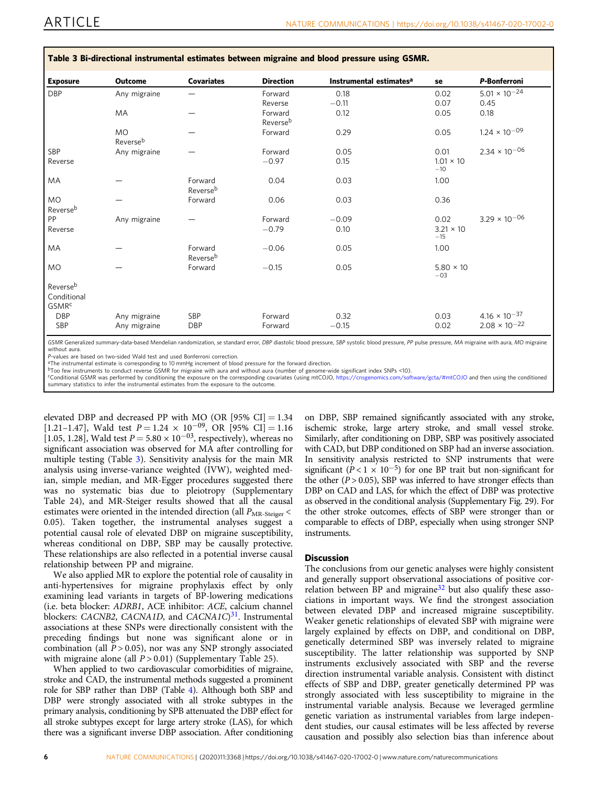| <b>Exposure</b>                              | <b>Outcome</b>        | <b>Covariates</b>   | <b>Direction</b>    | Instrumental estimates <sup>a</sup> | se                        | P-Bonferroni           |
|----------------------------------------------|-----------------------|---------------------|---------------------|-------------------------------------|---------------------------|------------------------|
| <b>DBP</b>                                   | Any migraine          |                     | Forward             | 0.18                                | 0.02                      | $5.01 \times 10^{-24}$ |
|                                              |                       |                     | Reverse             | $-0.11$                             | 0.07                      | 0.45                   |
|                                              | MA                    |                     | Forward<br>Reverseb | 0.12                                | 0.05                      | 0.18                   |
|                                              | <b>MO</b><br>Reverseb |                     | Forward             | 0.29                                | 0.05                      | $1.24 \times 10^{-09}$ |
| SBP                                          | Any migraine          |                     | Forward             | 0.05                                | 0.01                      | $2.34 \times 10^{-06}$ |
| Reverse                                      |                       |                     | $-0.97$             | 0.15                                | $1.01 \times 10$<br>$-10$ |                        |
| MA                                           |                       | Forward<br>Reverseb | 0.04                | 0.03                                | 1.00                      |                        |
| MO                                           |                       | Forward             | 0.06                | 0.03                                | 0.36                      |                        |
| Reverseb                                     |                       |                     |                     |                                     |                           |                        |
| PP                                           | Any migraine          |                     | Forward             | $-0.09$                             | 0.02                      | $3.29 \times 10^{-06}$ |
| Reverse                                      |                       |                     | $-0.79$             | 0.10                                | $3.21 \times 10$<br>$-15$ |                        |
| MA                                           |                       | Forward<br>Reverseb | $-0.06$             | 0.05                                | 1.00                      |                        |
| <b>MO</b>                                    |                       | Forward             | $-0.15$             | 0.05                                | $5.80 \times 10$<br>$-03$ |                        |
| Reverseb<br>Conditional<br>GSMR <sup>c</sup> |                       |                     |                     |                                     |                           |                        |
| <b>DBP</b>                                   | Any migraine          | SBP                 | Forward             | 0.32                                | 0.03                      | $4.16 \times 10^{-37}$ |
| SBP                                          | Any migraine          | <b>DBP</b>          | Forward             | $-0.15$                             | 0.02                      | $2.08 \times 10^{-22}$ |

<span id="page-5-0"></span>Table 3 Bi-directional instrumental estimates between migraine and blood pressure using GSMR.

GSMR Generalized summary-data-based Mendelian randomization, se standard error, DBP diastolic blood pressure, SBP systolic blood pressure, PP pulse pressure, MA migraine with aura, MO migraine without aura.<br>P-values are based on two-sided Wald test and used Bonferroni correction.

P-values are based on two-sided Wald test and used Bonferroni correction. aThe instrumental estimate is corresponding to 10 mmHg increment of blood pressure for the forward direction.

bToo few instruments to conduct reverse GSMR for migraine with aura and without aura (number of genome-wide significant index SNPs <10).

cConditional GSMR was performed by conditioning the exposure on the corresponding covariates (using mtCOJO, <https://cnsgenomics.com/software/gcta/#mtCOJO> and then using the conditioned summary statistics to infer the instrumental estimates from the exposure to the outcome.

elevated DBP and decreased PP with MO (OR  $[95\% \text{ CI}] = 1.34$ [1.21–1.47], Wald test  $P = 1.24 \times 10^{-09}$ , OR [95% CI] = 1.16 [1.05, 1.28], Wald test  $P = 5.80 \times 10^{-03}$ , respectively), whereas no significant association was observed for MA after controlling for multiple testing (Table 3). Sensitivity analysis for the main MR analysis using inverse-variance weighted (IVW), weighted median, simple median, and MR-Egger procedures suggested there was no systematic bias due to pleiotropy (Supplementary Table 24), and MR-Steiger results showed that all the causal estimates were oriented in the intended direction (all  $P_{MR\text{-Steiger}}$  < 0.05). Taken together, the instrumental analyses suggest a potential causal role of elevated DBP on migraine susceptibility, whereas conditional on DBP, SBP may be causally protective. These relationships are also reflected in a potential inverse causal relationship between PP and migraine.

We also applied MR to explore the potential role of causality in anti-hypertensives for migraine prophylaxis effect by only examining lead variants in targets of BP-lowering medications (i.e. beta blocker: ADRB1, ACE inhibitor: ACE, calcium channel blockers: CACNB2, CACNA1D, and CACNA1C $3<sup>31</sup>$  $3<sup>31</sup>$  $3<sup>31</sup>$ . Instrumental associations at these SNPs were directionally consistent with the preceding findings but none was significant alone or in combination (all  $P > 0.05$ ), nor was any SNP strongly associated with migraine alone (all  $P > 0.01$ ) (Supplementary Table 25).

When applied to two cardiovascular comorbidities of migraine, stroke and CAD, the instrumental methods suggested a prominent role for SBP rather than DBP (Table [4\)](#page-6-0). Although both SBP and DBP were strongly associated with all stroke subtypes in the primary analysis, conditioning by SPB attenuated the DBP effect for all stroke subtypes except for large artery stroke (LAS), for which there was a significant inverse DBP association. After conditioning

on DBP, SBP remained significantly associated with any stroke, ischemic stroke, large artery stroke, and small vessel stroke. Similarly, after conditioning on DBP, SBP was positively associated with CAD, but DBP conditioned on SBP had an inverse association. In sensitivity analysis restricted to SNP instruments that were significant ( $\overline{P}$  < 1 × 10<sup>-5</sup>) for one BP trait but non-significant for the other ( $P > 0.05$ ), SBP was inferred to have stronger effects than DBP on CAD and LAS, for which the effect of DBP was protective as observed in the conditional analysis (Supplementary Fig. 29). For the other stroke outcomes, effects of SBP were stronger than or comparable to effects of DBP, especially when using stronger SNP instruments.

### **Discussion**

The conclusions from our genetic analyses were highly consistent and generally support observational associations of positive cor-relation between BP and migraine<sup>[32](#page-8-0)</sup> but also qualify these associations in important ways. We find the strongest association between elevated DBP and increased migraine susceptibility. Weaker genetic relationships of elevated SBP with migraine were largely explained by effects on DBP, and conditional on DBP, genetically determined SBP was inversely related to migraine susceptibility. The latter relationship was supported by SNP instruments exclusively associated with SBP and the reverse direction instrumental variable analysis. Consistent with distinct effects of SBP and DBP, greater genetically determined PP was strongly associated with less susceptibility to migraine in the instrumental variable analysis. Because we leveraged germline genetic variation as instrumental variables from large independent studies, our causal estimates will be less affected by reverse causation and possibly also selection bias than inference about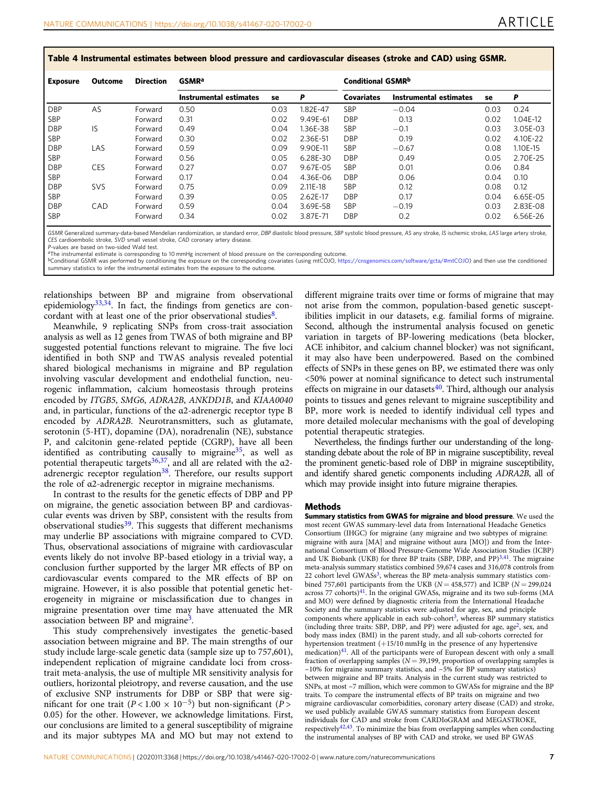<span id="page-6-0"></span>Table 4 Instrumental estimates between blood pressure and cardiovascular diseases (stroke and CAD) using GSMR.

| Exposure   | Outcome    | <b>Direction</b> | <b>GSMR</b> <sup>a</sup> |      | <b>Conditional GSMRb</b> |                   |                        |      |          |
|------------|------------|------------------|--------------------------|------|--------------------------|-------------------|------------------------|------|----------|
|            |            |                  | Instrumental estimates   | se   | P                        | <b>Covariates</b> | Instrumental estimates | se   | P        |
| <b>DBP</b> | AS         | Forward          | 0.50                     | 0.03 | 1.82E-47                 | <b>SBP</b>        | $-0.04$                | 0.03 | 0.24     |
| <b>SBP</b> |            | Forward          | 0.31                     | 0.02 | 9.49E-61                 | <b>DBP</b>        | 0.13                   | 0.02 | 1.04E-12 |
| <b>DBP</b> | IS         | Forward          | 0.49                     | 0.04 | 1.36E-38                 | <b>SBP</b>        | $-0.1$                 | 0.03 | 3.05E-03 |
| SBP        |            | Forward          | 0.30                     | 0.02 | 2.36E-51                 | <b>DBP</b>        | 0.19                   | 0.02 | 4.10E-22 |
| <b>DBP</b> | LAS        | Forward          | 0.59                     | 0.09 | 9.90E-11                 | <b>SBP</b>        | $-0.67$                | 0.08 | 1.10E-15 |
| SBP        |            | Forward          | 0.56                     | 0.05 | 6.28E-30                 | <b>DBP</b>        | 0.49                   | 0.05 | 2.70E-25 |
| <b>DBP</b> | <b>CES</b> | Forward          | 0.27                     | 0.07 | 9.67E-05                 | <b>SBP</b>        | 0.01                   | 0.06 | 0.84     |
| SBP        |            | Forward          | 0.17                     | 0.04 | 4.36E-06                 | <b>DBP</b>        | 0.06                   | 0.04 | 0.10     |
| <b>DBP</b> | <b>SVS</b> | Forward          | 0.75                     | 0.09 | 2.11E-18                 | <b>SBP</b>        | 0.12                   | 0.08 | 0.12     |
| <b>SBP</b> |            | Forward          | 0.39                     | 0.05 | 2.62E-17                 | <b>DBP</b>        | 0.17                   | 0.04 | 6.65E-05 |
| <b>DBP</b> | CAD        | Forward          | 0.59                     | 0.04 | 3.69E-58                 | <b>SBP</b>        | $-0.19$                | 0.03 | 2.83E-08 |
| <b>SBP</b> |            | Forward          | 0.34                     | 0.02 | 3.87E-71                 | <b>DBP</b>        | 0.2                    | 0.02 | 6.56E-26 |

GSMR Generalized summary-data-based Mendelian randomization, se standard error, DBP diastolic blood pressure, SBP systolic blood pressure, AS any stroke, IS ischemic stroke, LAS large artery stroke, the stroke, LAS large a CES cardioembolic stroke, SVD small vessel stroke, CAD coronary artery disease.<br>P-values are based on two-sided Wald test.

P-values are based on two-sided Wald test. aThe instrumental estimate is corresponding to 10 mmHg increment of blood pressure on the corresponding outcome.

bConditional GSMR was performed by conditioning the exposure on the corresponding covariates (using mtCOJO, <https://cnsgenomics.com/software/gcta/#mtCOJO>) and then use the conditioned summary statistics to infer the instrumental estimates from the exposure to the outcome.

relationships between BP and migraine from observational epidemiology $33,34$ . In fact, the findings from genetics are concordant with at least one of the prior observational studies $8$ .

Meanwhile, 9 replicating SNPs from cross-trait association analysis as well as 12 genes from TWAS of both migraine and BP suggested potential functions relevant to migraine. The five loci identified in both SNP and TWAS analysis revealed potential shared biological mechanisms in migraine and BP regulation involving vascular development and endothelial function, neurogenic inflammation, calcium homeostasis through proteins encoded by ITGB5, SMG6, ADRA2B, ANKDD1B, and KIAA0040 and, in particular, functions of the α2-adrenergic receptor type B encoded by ADRA2B. Neurotransmitters, such as glutamate, serotonin (5-HT), dopamine (DA), noradrenalin (NE), substance P, and calcitonin gene-related peptide (CGRP), have all been identified as contributing causally to migraine $35$ , as well as potential therapeutic targets<sup>36,37</sup>, and all are related with the  $\alpha$ 2adrenergic receptor regulation<sup>38</sup>. Therefore, our results support the role of α2-adrenergic receptor in migraine mechanisms.

In contrast to the results for the genetic effects of DBP and PP on migraine, the genetic association between BP and cardiovascular events was driven by SBP, consistent with the results from observational studies $39$ . This suggests that different mechanisms may underlie BP associations with migraine compared to CVD. Thus, observational associations of migraine with cardiovascular events likely do not involve BP-based etiology in a trivial way, a conclusion further supported by the larger MR effects of BP on cardiovascular events compared to the MR effects of BP on migraine. However, it is also possible that potential genetic heterogeneity in migraine or misclassification due to changes in migraine presentation over time may have attenuated the MR association between BP and migraine<sup>3</sup>.

This study comprehensively investigates the genetic-based association between migraine and BP. The main strengths of our study include large-scale genetic data (sample size up to 757,601), independent replication of migraine candidate loci from crosstrait meta-analysis, the use of multiple MR sensitivity analysis for outliers, horizontal pleiotropy, and reverse causation, and the use of exclusive SNP instruments for DBP or SBP that were significant for one trait ( $P < 1.00 \times 10^{-5}$ ) but non-significant ( $P >$ 0.05) for the other. However, we acknowledge limitations. First, our conclusions are limited to a general susceptibility of migraine and its major subtypes MA and MO but may not extend to

different migraine traits over time or forms of migraine that may not arise from the common, population-based genetic susceptibilities implicit in our datasets, e.g. familial forms of migraine. Second, although the instrumental analysis focused on genetic variation in targets of BP-lowering medications (beta blocker, ACE inhibitor, and calcium channel blocker) was not significant, it may also have been underpowered. Based on the combined effects of SNPs in these genes on BP, we estimated there was only <50% power at nominal significance to detect such instrumental effects on migraine in our datasets $40$ . Third, although our analysis points to tissues and genes relevant to migraine susceptibility and BP, more work is needed to identify individual cell types and more detailed molecular mechanisms with the goal of developing potential therapeutic strategies.

Nevertheless, the findings further our understanding of the longstanding debate about the role of BP in migraine susceptibility, reveal the prominent genetic-based role of DBP in migraine susceptibility, and identify shared genetic components including ADRA2B, all of which may provide insight into future migraine therapies.

#### Methods

Summary statistics from GWAS for migraine and blood pressure. We used the most recent GWAS summary-level data from International Headache Genetics Consortium (IHGC) for migraine (any migraine and two subtypes of migraine: migraine with aura [MA] and migraine without aura [MO]) and from the International Consortium of Blood Pressure-Genome Wide Association Studies (ICBP) and UK Biobank (UKB) for three BP traits (SBP, DBP, and PP)<sup>3[,41](#page-8-0)</sup>. The migraine meta-analysis summary statistics combined 59,674 cases and 316,078 controls from 22 cohort level  $GWASs<sup>3</sup>$ , whereas the BP meta-analysis summary statistics combined 757,601 participants from the UKB ( $N = 458,577$ ) and ICBP ( $N = 299,024$ across 77 cohorts)<sup>41</sup>. In the original GWASs, migraine and its two sub-forms (MA and MO) were defined by diagnostic criteria from the International Headache Society and the summary statistics were adjusted for age, sex, and principle components where applicable in each sub-cohort<sup>3</sup>, whereas BP summary statistics (including three traits: SBP, DBP, and PP) were adjusted for age, age<sup>[2](#page-7-0)</sup>, sex, and body mass index (BMI) in the parent study, and all sub-cohorts corrected for hypertension treatment  $(+15/10 \text{ mmHg}$  in the presence of any hypertensive medication)<sup>[41](#page-8-0)</sup>. All of the participants were of European descent with only a small fraction of overlapping samples ( $N = 39,199$ , proportion of overlapping samples is ~10% for migraine summary statistics, and ~5% for BP summary statistics) between migraine and BP traits. Analysis in the current study was restricted to SNPs, at most ~7 million, which were common to GWASs for migraine and the BP traits. To compare the instrumental effects of BP traits on migraine and two migraine cardiovascular comorbidities, coronary artery disease (CAD) and stroke, we used publicly available GWAS summary statistics from European descent individuals for CAD and stroke from CARDIoGRAM and MEGASTROKE, respectively $42,43$ . To minimize the bias from overlapping samples when conducting the instrumental analyses of BP with CAD and stroke, we used BP GWAS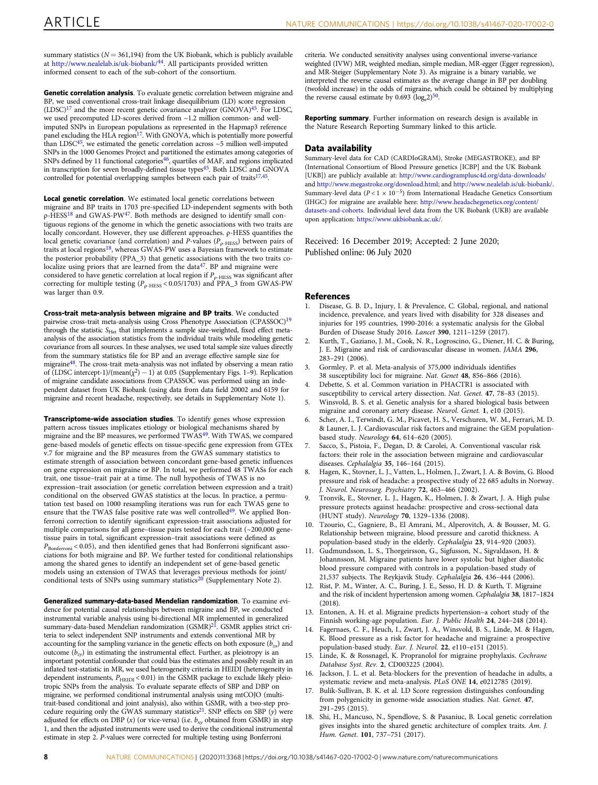<span id="page-7-0"></span>summary statistics ( $N = 361,194$ ) from the UK Biobank, which is publicly available at <http://www.nealelab.is/uk-biobank/>[44.](#page-8-0) All participants provided written informed consent to each of the sub-cohort of the consortium.

Genetic correlation analysis. To evaluate genetic correlation between migraine and BP, we used conventional cross-trait linkage disequilibrium (LD) score regression  $(LDSC)^{17}$  and the more recent genetic covariance analyzer  $(GNOVA)^{45}$ . For LDSC, we used precomputed LD-scores derived from ~1.2 million common- and wellimputed SNPs in European populations as represented in the Hapmap3 reference panel excluding the HLA region<sup>17</sup>. With GNOVA, which is potentially more powerful than LDSC $45$ , we estimated the genetic correlation across  $\sim$  5 million well-imputed SNPs in the 1000 Genomes Project and partitioned the estimates among categories of SNPs defined by 11 functional categories[46](#page-8-0), quartiles of MAF, and regions implicated in transcription for seven broadly-defined tissue types<sup>45</sup>. Both LDSC and GNOVA controlled for potential overlapping samples between each pair of traits<sup>17,45</sup>.

Local genetic correlation. We estimated local genetic correlations between migraine and BP traits in 1703 pre-specified LD-independent segments with both ρ-HESS<sup>18</sup> and GWAS-PW[47.](#page-8-0) Both methods are designed to identify small contiguous regions of the genome in which the genetic associations with two traits are locally concordant. However, they use different approaches. ρ-HESS quantifies the local genetic covariance (and correlation) and P-values ( $P_{\rho\text{-HESS}}$ ) between pairs of traits at local regions<sup>18</sup>, whereas GWAS-PW uses a Bayesian framework to estimate the posterior probability (PPA\_3) that genetic associations with the two traits colocalize using priors that are learned from the data<sup>47</sup>. BP and migraine were considered to have genetic correlation at local region if  $P_{\rho\text{-HESS}}$  was significant after correcting for multiple testing ( $P_{\rho\text{-HESS}}$  < 0.05/1703) and PPA\_3 from GWAS-PW was larger than 0.9.

Cross-trait meta-analysis between migraine and BP traits. We conducted pairwise cross-trait meta-analysis using Cross Phenotype Association (CPASSOC)[19](#page-8-0) through the statistic  $S_{\text{Het}}$  that implements a sample size-weighted, fixed effect metaanalysis of the association statistics from the individual traits while modeling genetic covariance from all sources. In these analyses, we used total sample size values directly from the summary statistics file for BP and an average effective sample size for migrain[e48.](#page-8-0) The cross-trait meta-analysis was not inflated by observing a mean ratio of (LDSC intercept-1)/(mean( $\chi^2$ ) – 1) at 0.05 (Supplementary Figs. 1–9). Replication of migraine candidate associations from CPASSOC was performed using an independent dataset from UK Biobank (using data from data field 20002 and 6159 for migraine and recent headache, respectively, see details in Supplementary Note 1).

Transcriptome-wide association studies. To identify genes whose expression pattern across tissues implicates etiology or biological mechanisms shared by migraine and the BP measures, we performed TWAS<sup>[49](#page-8-0)</sup>. With TWAS, we compared gene-based models of genetic effects on tissue-specific gene expression from GTEx v.7 for migraine and the BP measures from the GWAS summary statistics to estimate strength of association between concordant gene-based genetic influences on gene expression on migraine or BP. In total, we performed 48 TWASs for each trait, one tissue–trait pair at a time. The null hypothesis of TWAS is no expression–trait association (or genetic correlation between expression and a trait) conditional on the observed GWAS statistics at the locus. In practice, a permutation test based on 1000 resampling iterations was run for each TWAS gene to ensure that the TWAS false positive rate was well controlled<sup>49</sup>. We applied Bonferroni correction to identify significant expression-trait associations adjusted for multiple comparisons for all gene–tissue pairs tested for each trait (~200,000 genetissue pairs in total, significant expression–trait associations were defined as  $P_{\text{Bonferroni}}$  < 0.05), and then identified genes that had Bonferroni significant associations for both migraine and BP. We further tested for conditional relationships among the shared genes to identify an independent set of gene-based genetic models using an extension of TWAS that leverages previous methods for joint/<br>conditional tests of SNPs using summary statistics<sup>[20](#page-8-0)</sup> (Supplementary Note 2).

Generalized summary-data-based Mendelian randomization. To examine evidence for potential causal relationships between migraine and BP, we conducted instrumental variable analysis using bi-directional MR implemented in generalized summary-data-based Mendelian randomization (GSMR[\)21.](#page-8-0) GSMR applies strict criteria to select independent SNP instruments and extends conventional MR by accounting for the sampling variance in the genetic effects on both exposure  $(b_{zx})$  and outcome  $(b_{zy})$  in estimating the instrumental effect. Further, as pleiotropy is an important potential confounder that could bias the estimates and possibly result in an inflated test-statistic in MR, we used heterogeneity criteria in HEIDI (heterogeneity in dependent instruments,  $P_{\text{HEIDI}} < 0.01$ ) in the GSMR package to exclude likely pleiotropic SNPs from the analysis. To evaluate separate effects of SBP and DBP on migraine, we performed conditional instrumental analysis using mtCOJO (multitrait-based conditional and joint analysis), also within GSMR, with a two-step procedure requiring only the GWAS summary statistics<sup>21</sup>. SNP effects on SBP (y) were adjusted for effects on DBP (x) (or vice-versa) (i.e.  $b_{xy}$  obtained from GSMR) in step 1, and then the adjusted instruments were used to derive the conditional instrumental estimate in step 2. P-values were corrected for multiple testing using Bonferroni

criteria. We conducted sensitivity analyses using conventional inverse-variance weighted (IVW) MR, weighted median, simple median, MR-egger (Egger regression), and MR-Steiger (Supplementary Note 3). As migraine is a binary variable, we interpreted the reverse causal estimates as the average change in BP per doubling (twofold increase) in the odds of migraine, which could be obtained by multiplying the reverse causal estimate by  $0.693 \text{ (log}_e 2)^{50}$  $0.693 \text{ (log}_e 2)^{50}$  $0.693 \text{ (log}_e 2)^{50}$ .

Reporting summary. Further information on research design is available in the Nature Research Reporting Summary linked to this article.

#### Data availability

Summary-level data for CAD (CARDIoGRAM), Stroke (MEGASTROKE), and BP (International Consortium of Blood Pressure genetics [ICBP] and the UK Biobank [UKB]) are publicly available at: <http://www.cardiogramplusc4d.org/data-downloads/> and <http://www.megastroke.org/download.html>; and <http://www.nealelab.is/uk-biobank/>. Summary-level data ( $P < 1 \times 10^{-5}$ ) from International Headache Genetics Consortium (IHGC) for migraine are available here: [http://www.headachegenetics.org/content/](http://www.headachegenetics.org/content/datasets-and-cohorts) [datasets-and-cohorts.](http://www.headachegenetics.org/content/datasets-and-cohorts) Individual level data from the UK Biobank (UKB) are available upon application: <https://www.ukbiobank.ac.uk/>.

Received: 16 December 2019; Accepted: 2 June 2020;

#### References

- 1. Disease, G. B. D., Injury, I. & Prevalence, C. Global, regional, and national incidence, prevalence, and years lived with disability for 328 diseases and injuries for 195 countries, 1990-2016: a systematic analysis for the Global Burden of Disease Study 2016. Lancet 390, 1211–1259 (2017).
- 2. Kurth, T., Gaziano, J. M., Cook, N. R., Logroscino, G., Diener, H. C. & Buring, J. E. Migraine and risk of cardiovascular disease in women. JAMA 296, 283–291 (2006).
- 3. Gormley, P. et al. Meta-analysis of 375,000 individuals identifies 38 susceptibility loci for migraine. Nat. Genet 48, 856–866 (2016).
- 4. Debette, S. et al. Common variation in PHACTR1 is associated with susceptibility to cervical artery dissection. Nat. Genet. 47, 78–83 (2015).
- 5. Winsvold, B. S. et al. Genetic analysis for a shared biological basis between migraine and coronary artery disease. Neurol. Genet. 1, e10 (2015).
- 6. Scher, A. I., Terwindt, G. M., Picavet, H. S., Verschuren, W. M., Ferrari, M. D. & Launer, L. J. Cardiovascular risk factors and migraine: the GEM populationbased study. Neurology 64, 614–620 (2005).
- 7. Sacco, S., Pistoia, F., Degan, D. & Carolei, A. Conventional vascular risk factors: their role in the association between migraine and cardiovascular diseases. Cephalalgia 35, 146–164 (2015).
- 8. Hagen, K., Stovner, L. J., Vatten, L., Holmen, J., Zwart, J. A. & Bovim, G. Blood pressure and risk of headache: a prospective study of 22 685 adults in Norway. J. Neurol. Neurosurg. Psychiatry 72, 463–466 (2002).
- 9. Tronvik, E., Stovner, L. J., Hagen, K., Holmen, J. & Zwart, J. A. High pulse pressure protects against headache: prospective and cross-sectional data (HUNT study). Neurology 70, 1329–1336 (2008).
- 10. Tzourio, C., Gagniere, B., El Amrani, M., Alperovitch, A. & Bousser, M. G. Relationship between migraine, blood pressure and carotid thickness. A population-based study in the elderly. Cephalalgia 23, 914–920 (2003).
- 11. Gudmundsson, L. S., Thorgeirsson, G., Sigfusson, N., Sigvaldason, H. & Johannsson, M. Migraine patients have lower systolic but higher diastolic blood pressure compared with controls in a population-based study of 21,537 subjects. The Reykjavik Study. Cephalalgia 26, 436–444 (2006).
- 12. Rist, P. M., Winter, A. C., Buring, J. E., Sesso, H. D. & Kurth, T. Migraine and the risk of incident hypertension among women. Cephalalgia 38, 1817–1824  $(2018)$
- Entonen, A. H. et al. Migraine predicts hypertension–a cohort study of the Finnish working-age population. Eur. J. Public Health 24, 244-248 (2014).
- Fagernaes, C. F., Heuch, I., Zwart, J. A., Winsvold, B. S., Linde, M. & Hagen, K. Blood pressure as a risk factor for headache and migraine: a prospective population-based study. Eur. J. Neurol. 22, e110–e151 (2015).
- 15. Linde, K. & Rossnagel, K. Propranolol for migraine prophylaxis. Cochrane Database Syst. Rev. 2, CD003225 (2004).
- 16. Jackson, J. L. et al. Beta-blockers for the prevention of headache in adults, a systematic review and meta-analysis. PLoS ONE 14, e0212785 (2019).
- 17. Bulik-Sullivan, B. K. et al. LD Score regression distinguishes confounding from polygenicity in genome-wide association studies. Nat. Genet. 47, 291–295 (2015).
- 18. Shi, H., Mancuso, N., Spendlove, S. & Pasaniuc, B. Local genetic correlation gives insights into the shared genetic architecture of complex traits. Am. J. Hum. Genet. 101, 737–751 (2017).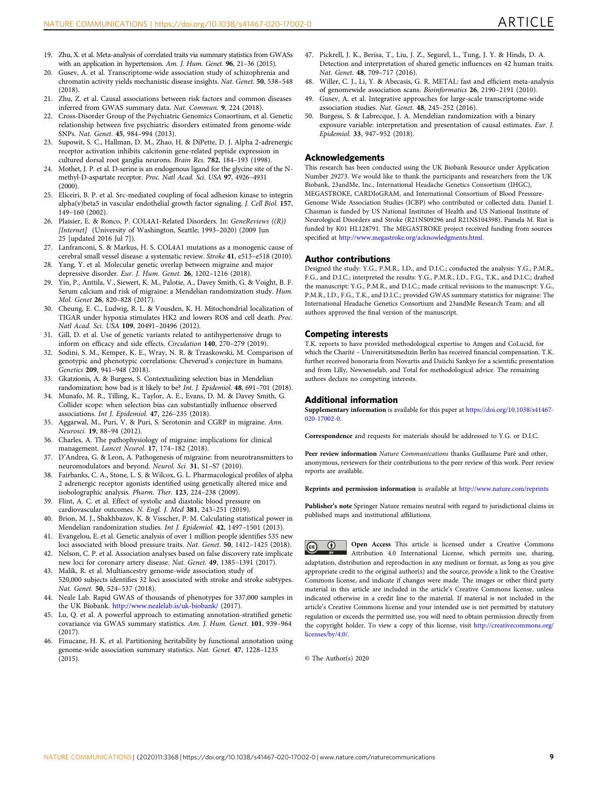- <span id="page-8-0"></span>19. Zhu, X. et al. Meta-analysis of correlated traits via summary statistics from GWASs with an application in hypertension. Am. J. Hum. Genet. 96, 21–36 (2015).
- 20. Gusev, A. et al. Transcriptome-wide association study of schizophrenia and chromatin activity yields mechanistic disease insights. Nat. Genet. 50, 538–548 (2018).
- 21. Zhu, Z. et al. Causal associations between risk factors and common diseases inferred from GWAS summary data. Nat. Commun. 9, 224 (2018).
- 22. Cross-Disorder Group of the Psychiatric Genomics Consortium, et al. Genetic relationship between five psychiatric disorders estimated from genome-wide SNPs. Nat. Genet. 45, 984–994 (2013).
- 23. Supowit, S. C., Hallman, D. M., Zhao, H. & DiPette, D. J. Alpha 2-adrenergic receptor activation inhibits calcitonin gene-related peptide expression in cultured dorsal root ganglia neurons. Brain Res. 782, 184–193 (1998).
- 24. Mothet, J. P. et al. D-serine is an endogenous ligand for the glycine site of the Nmethyl-D-aspartate receptor. Proc. Natl Acad. Sci. USA 97, 4926–4931 (2000).
- 25. Eliceiri, B. P. et al. Src-mediated coupling of focal adhesion kinase to integrin alpha(v)beta5 in vascular endothelial growth factor signaling. J. Cell Biol. 157, 149–160 (2002).
- 26. Plaisier, E. & Ronco, P. COL4A1-Related Disorders. In: GeneReviews ((R)) [Internet] (University of Washington, Seattle; 1993-2020) (2009 Jun 25 [updated 2016 Jul 7]).
- 27. Lanfranconi, S. & Markus, H. S. COL4A1 mutations as a monogenic cause of cerebral small vessel disease: a systematic review. Stroke 41, e513–e518 (2010).
- 28. Yang, Y. et al. Molecular genetic overlap between migraine and major depressive disorder. Eur. J. Hum. Genet. 26, 1202–1216 (2018).
- 29. Yin, P., Anttila, V., Siewert, K. M., Palotie, A., Davey Smith, G. & Voight, B. F. Serum calcium and risk of migraine: a Mendelian randomization study. Hum. Mol. Genet 26, 820–828 (2017).
- 30. Cheung, E. C., Ludwig, R. L. & Vousden, K. H. Mitochondrial localization of TIGAR under hypoxia stimulates HK2 and lowers ROS and cell death. Proc. Natl Acad. Sci. USA 109, 20491–20496 (2012).
- 31. Gill, D. et al. Use of genetic variants related to antihypertensive drugs to inform on efficacy and side effects. Circulation 140, 270–279 (2019).
- 32. Sodini, S. M., Kemper, K. E., Wray, N. R. & Trzaskowski, M. Comparison of genotypic and phenotypic correlations: Cheverud's conjecture in humans. Genetics 209, 941–948 (2018).
- 33. Gkatzionis, A. & Burgess, S. Contextualizing selection bias in Mendelian randomization: how bad is it likely to be? Int. J. Epidemiol. 48, 691–701 (2018).
- 34. Munafo, M. R., Tilling, K., Taylor, A. E., Evans, D. M. & Davey Smith, G. Collider scope: when selection bias can substantially influence observed associations. Int J. Epidemiol. 47, 226–235 (2018).
- 35. Aggarwal, M., Puri, V. & Puri, S. Serotonin and CGRP in migraine. Ann. Neurosci. 19, 88–94 (2012).
- 36. Charles, A. The pathophysiology of migraine: implications for clinical management. Lancet Neurol. 17, 174–182 (2018).
- 37. D'Andrea, G. & Leon, A. Pathogenesis of migraine: from neurotransmitters to neuromodulators and beyond. Neurol. Sci. 31, S1–S7 (2010).
- 38. Fairbanks, C. A., Stone, L. S. & Wilcox, G. L. Pharmacological profiles of alpha 2 adrenergic receptor agonists identified using genetically altered mice and isobolographic analysis. Pharm. Ther. 123, 224–238 (2009).
- 39. Flint, A. C. et al. Effect of systolic and diastolic blood pressure on cardiovascular outcomes. N. Engl. J. Med 381, 243–251 (2019).
- 40. Brion, M. J., Shakhbazov, K. & Visscher, P. M. Calculating statistical power in Mendelian randomization studies. Int J. Epidemiol. 42, 1497–1501 (2013).
- 41. Evangelou, E. et al. Genetic analysis of over 1 million people identifies 535 new loci associated with blood pressure traits. Nat. Genet. **50**, 1412–1425 (2018).
- 42. Nelson, C. P. et al. Association analyses based on false discovery rate implicate new loci for coronary artery disease. Nat. Genet. 49, 1385–1391 (2017).
- 43. Malik, R. et al. Multiancestry genome-wide association study of 520,000 subjects identifies 32 loci associated with stroke and stroke subtypes. Nat. Genet. 50, 524–537 (2018).
- 44. Neale Lab. Rapid GWAS of thousands of phenotypes for 337,000 samples in the UK Biobank. <http://www.nealelab.is/uk-biobank/> (2017).
- 45. Lu, Q. et al. A powerful approach to estimating annotation-stratified genetic covariance via GWAS summary statistics. Am. J. Hum. Genet. 101, 939–964 (2017).
- 46. Finucane, H. K. et al. Partitioning heritability by functional annotation using genome-wide association summary statistics. Nat. Genet. 47, 1228–1235 (2015).
- 47. Pickrell, J. K., Berisa, T., Liu, J. Z., Segurel, L., Tung, J. Y. & Hinds, D. A. Detection and interpretation of shared genetic influences on 42 human traits. Nat. Genet. 48, 709–717 (2016).
- 48. Willer, C. J., Li, Y. & Abecasis, G. R. METAL: fast and efficient meta-analysis of genomewide association scans. Bioinformatics 26, 2190–2191 (2010).
- 49. Gusev, A. et al. Integrative approaches for large-scale transcriptome-wide association studies. Nat. Genet. 48, 245–252 (2016).
- 50. Burgess, S. & Labrecque, J. A. Mendelian randomization with a binary exposure variable: interpretation and presentation of causal estimates. Eur. J. Epidemiol. 33, 947–952 (2018).

#### Acknowledgements

This research has been conducted using the UK Biobank Resource under Application Number 29273. We would like to thank the participants and researchers from the UK Biobank, 23andMe, Inc., International Headache Genetics Consortium (IHGC), MEGASTROKE, CARDIoGRAM, and International Consortium of Blood Pressure-Genome Wide Association Studies (ICBP) who contributed or collected data. Daniel I. Chasman is funded by US National Institutes of Health and US National Institute of Neurological Disorders and Stroke (R21NS09296 and R21NS104398). Pamela M. Rist is funded by K01 HL128791. The MEGASTROKE project received funding from sources specified at <http://www.megastroke.org/acknowledgments.html>.

#### Author contributions

Designed the study: Y.G., P.M.R., I.D., and D.I.C.; conducted the analysis: Y.G., P.M.R., F.G., and D.I.C.; interpreted the results: Y.G., P.M.R., I.D., F.G., T.K., and D.I.C.; drafted the manuscript: Y.G., P.M.R., and D.I.C.; made critical revisions to the manuscript: Y.G., P.M.R., I.D., F.G., T.K., and D.I.C.; provided GWAS summary statistics for migraine: The International Headache Genetics Consortium and 23andMe Research Team; and all authors approved the final version of the manuscript.

### Competing interests

T.K. reports to have provided methodological expertise to Amgen and CoLucid, for which the Charité – Universitätsmedizin Berlin has received financial compensation. T.K. further received honoraria from Novartis and Daiichi Sankyo for a scientific presentation and from Lilly, Newsenselab, and Total for methodological advice. The remaining authors declare no competing interests.

### Additional information

Supplementary information is available for this paper at [https://doi.org/10.1038/s41467-](https://doi.org/10.1038/s41467-020-17002-0) [020-17002-0.](https://doi.org/10.1038/s41467-020-17002-0)

Correspondence and requests for materials should be addressed to Y.G. or D.I.C.

Peer review information Nature Communications thanks Guillaume Paré and other, anonymous, reviewers for their contributions to the peer review of this work. Peer review reports are available.

Reprints and permission information is available at <http://www.nature.com/reprints>

Publisher's note Springer Nature remains neutral with regard to jurisdictional claims in published maps and institutional affiliations.

Open Access This article is licensed under a Creative Commons  $\left( \hat{\mathbf{r}} \right)$ Attribution 4.0 International License, which permits use, sharing, adaptation, distribution and reproduction in any medium or format, as long as you give appropriate credit to the original author(s) and the source, provide a link to the Creative Commons license, and indicate if changes were made. The images or other third party material in this article are included in the article's Creative Commons license, unless indicated otherwise in a credit line to the material. If material is not included in the article's Creative Commons license and your intended use is not permitted by statutory regulation or exceeds the permitted use, you will need to obtain permission directly from the copyright holder. To view a copy of this license, visit [http://creativecommons.org/](http://creativecommons.org/licenses/by/4.0/) [licenses/by/4.0/](http://creativecommons.org/licenses/by/4.0/).

© The Author(s) 2020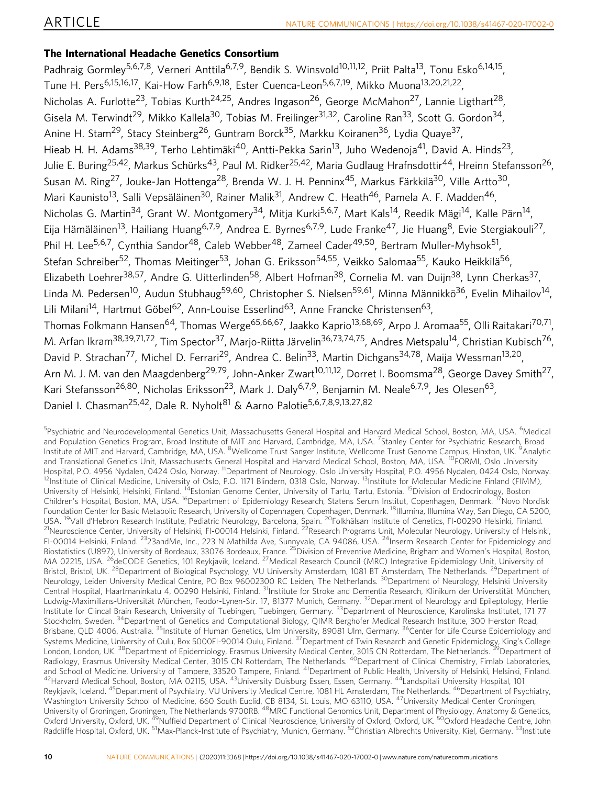# The International Headache Genetics Consortium

Padhraig Gormley<sup>5,6,7,8</sup>, Verneri Anttila<sup>6,7,9</sup>, Bendik S. Winsvold<sup>10,11,12</sup>, Priit Palta<sup>13</sup>, Tonu Esko<sup>6,14,15</sup>, Tune H. Pers<sup>6,15,16,17</sup>, Kai-How Farh<sup>6,9,18</sup>, Ester Cuenca-Leon<sup>5,6,7,19</sup>, Mikko Muona<sup>13,20,21,22</sup>, Nicholas A. Furlotte<sup>23</sup>, Tobias Kurth<sup>24,25</sup>, Andres Ingason<sup>26</sup>, George McMahon<sup>27</sup>, Lannie Ligthart<sup>28</sup>, Gisela M. Terwindt<sup>29</sup>, Mikko Kallela<sup>30</sup>, Tobias M. Freilinger<sup>31,32</sup>, Caroline Ran<sup>33</sup>, Scott G. Gordon<sup>34</sup>, Anine H. Stam<sup>29</sup>, Stacy Steinberg<sup>26</sup>, Guntram Borck<sup>35</sup>, Markku Koiranen<sup>36</sup>, Lydia Ouave<sup>37</sup>, Hieab H. H. Adams<sup>38,39</sup>, Terho Lehtimäki<sup>40</sup>, Antti-Pekka Sarin<sup>13</sup>, Juho Wedenoja<sup>41</sup>, David A. Hinds<sup>23</sup>, Julie E. Buring<sup>25,42</sup>, Markus Schürks<sup>43</sup>, Paul M. Ridker<sup>25,42</sup>, Maria Gudlaug Hrafnsdottir<sup>44</sup>, Hreinn Stefansson<sup>26</sup>, Susan M. Ring<sup>27</sup>, Jouke-Jan Hottenga<sup>28</sup>, Brenda W. J. H. Penninx<sup>45</sup>, Markus Färkkilä<sup>30</sup>, Ville Artto<sup>30</sup>, Mari Kaunisto<sup>13</sup>, Salli Vepsäläinen<sup>30</sup>, Rainer Malik<sup>31</sup>, Andrew C. Heath<sup>46</sup>, Pamela A. F. Madden<sup>46</sup>, Nicholas G. Martin<sup>34</sup>, Grant W. Montgomery<sup>34</sup>, Mitja Kurki<sup>5,6,7</sup>, Mart Kals<sup>14</sup>, Reedik Mägi<sup>14</sup>, Kalle Pärn<sup>14</sup>, Eija Hämäläinen<sup>13</sup>, Hailiang Huang<sup>6,7,9</sup>, Andrea E. Byrnes<sup>6,7,9</sup>, Lude Franke<sup>47</sup>, Jie Huang<sup>8</sup>, Evie Stergiakouli<sup>27</sup>. Phil H. Lee<sup>5,6,7</sup>, Cynthia Sandor<sup>48</sup>, Caleb Webber<sup>48</sup>, Zameel Cader<sup>49,50</sup>, Bertram Muller-Myhsok<sup>51</sup>, Stefan Schreiber<sup>52</sup>, Thomas Meitinger<sup>53</sup>, Johan G. Eriksson<sup>54,55</sup>, Veikko Salomaa<sup>55</sup>, Kauko Heikkilä<sup>56</sup>, Elizabeth Loehrer<sup>38,57</sup>, Andre G. Uitterlinden<sup>58</sup>, Albert Hofman<sup>38</sup>, Cornelia M. van Duijn<sup>38</sup>, Lynn Cherkas<sup>37</sup>, Linda M. Pedersen<sup>10</sup>, Audun Stubhaug<sup>59,60</sup>, Christopher S. Nielsen<sup>59,61</sup>, Minna Männikkö<sup>36</sup>, Evelin Mihailov<sup>14</sup>, Lili Milani<sup>14</sup>, Hartmut Göbel<sup>62</sup>, Ann-Louise Esserlind<sup>63</sup>, Anne Francke Christensen<sup>63</sup>, Thomas Folkmann Hansen<sup>64</sup>, Thomas Werge<sup>65,66,67</sup>, Jaakko Kaprio<sup>13,68,69</sup>, Arpo J. Aromaa<sup>55</sup>, Olli Raitakari<sup>70,71</sup>, M. Arfan Ikram<sup>38,39,71,72</sup>, Tim Spector<sup>37</sup>, Marjo-Riitta Järvelin<sup>36,73,74,75</sup>, Andres Metspalu<sup>14</sup>, Christian Kubisch<sup>76</sup>, David P. Strachan<sup>77</sup>, Michel D. Ferrari<sup>29</sup>, Andrea C. Belin<sup>33</sup>, Martin Dichgans<sup>34,78</sup>, Maija Wessman<sup>13,20</sup>, Arn M. J. M. van den Maagdenberg<sup>29,79</sup>, John-Anker Zwart<sup>10,11,12</sup>, Dorret I. Boomsma<sup>28</sup>, George Davey Smith<sup>27</sup>, Kari Stefansson<sup>26,80</sup>, Nicholas Eriksson<sup>23</sup>, Mark J. Daly<sup>6,7,9</sup>, Benjamin M. Neale<sup>6,7,9</sup>, Jes Olesen<sup>63</sup>, Daniel I. Chasman<sup>25,42</sup>, Dale R. Nyholt<sup>81</sup> & Aarno Palotie<sup>5,6,7,8,9,13,27,82</sup>

<sup>5</sup>Psychiatric and Neurodevelopmental Genetics Unit, Massachusetts General Hospital and Harvard Medical School, Boston, MA, USA. <sup>6</sup>Medical and Population Genetics Program, Broad Institute of MIT and Harvard, Cambridge, MA, USA. <sup>7</sup>Stanley Center for Psychiatric Research, Broad Institute of MIT and Harvard, Cambridge, MA, USA. <sup>8</sup>Wellcome Trust Sanger Institute, Wellcome Trust Genome Campus, Hinxton, UK. <sup>9</sup>Analytic and Translational Genetics Unit, Massachusetts General Hospital and Harvard Medical School, Boston, MA, USA. <sup>10</sup>FORMI, Oslo University<br>Hospital, P.O. 4956 Nydalen, 0424 Oslo, Norway. <sup>11</sup>Department of Neurology, Oslo Univ <sup>12</sup>Institute of Clinical Medicine, University of Oslo, P.O. 1171 Blindern, 0318 Oslo, Norway. <sup>13</sup>Institute for Molecular Medicine Finland (FIMM), University of Helsinki, Helsinki, Finland. 14Estonian Genome Center, University of Tartu, Tartu, Estonia. 15Division of Endocrinology, Boston Children's Hospital, Boston, MA, USA. <sup>16</sup>Department of Epidemiology Research, Statens Serum Institut, Copenhagen, Denmark. <sup>17</sup>Novo Nordisk Foundation Center for Basic Metabolic Research, University of Copenhagen, Copenhagen, Denmark. <sup>18</sup>Illumina, Illumina Way, San Diego, CA 5200, USA. <sup>19</sup>Vall d'Hebron Research Institute, Pediatric Neurology, Barcelona, Spain. <sup>20</sup>Folkhälsan Institute of Genetics, FI-00290 Helsinki, Finland.<br><sup>21</sup>Neuroscience Center, University of Helsinki, FI-00014 Helsinki, Finlan FI-00014 Helsinki, Finland. <sup>23</sup>23andMe, Inc., 223 N Mathilda Ave, Sunnyvale, CA 94086, USA. <sup>24</sup>Inserm Research Center for Epidemiology and Biostatistics (U897), University of Bordeaux, 33076 Bordeaux, France. <sup>25</sup>Division of Preventive Medicine, Brigham and Women's Hospital, Boston, MA 02215, USA. <sup>26</sup>deCODE Genetics, 101 Reykjavik, Iceland. <sup>27</sup>Medical Research Council (MRC) Integrative Epidemiology Unit, University of Bristol, Bristol, UK. <sup>28</sup>Department of Biological Psychology, VU University Amsterdam, 1081 BT Amsterdam, The Netherlands. <sup>29</sup>Department of Neurology, Leiden University Medical Centre, PO Box 96002300 RC Leiden, The Netherlands. <sup>30</sup>Department of Neurology, Helsinki University Central Hospital, Haartmaninkatu 4, 00290 Helsinki, Finland. 31Institute for Stroke and Dementia Research, Klinikum der Universtität München, Ludwig-Maximilians-Universität München, Feodor-Lynen-Str. 17, 81377 Munich, Germany. <sup>32</sup>Department of Neurology and Epileptology, Hertie Institute for Clincal Brain Research, University of Tuebingen, Tuebingen, Germany. <sup>33</sup>Department of Neuroscience, Karolinska Institutet, 171 77 Stockholm, Sweden. <sup>34</sup>Department of Genetics and Computational Biology, QIMR Berghofer Medical Research Institute, 300 Herston Road, Brisbane, QLD 4006, Australia. <sup>35</sup>Institute of Human Genetics, Ulm University, 89081 Ulm, Germany. <sup>36</sup>Center for Life Course Epidemiology and Systems Medicine, University of Oulu, Box 5000FI-90014 Oulu, Finland. <sup>37</sup>Department of Twin Research and Genetic Epidemiology, King's College London, London, UK.<sup>38</sup>Department of Epidemiology, Erasmus University Medical Center, 3015 CN Rotterdam, The Netherlands. <sup>39</sup>Department of Radiology, Erasmus University Medical Center, 3015 CN Rotterdam, The Netherlands. <sup>40</sup>Department of Clinical Chemistry, Fimlab Laboratories, and School of Medicine, University of Tampere, 33520 Tampere, Finland. <sup>41</sup>Department of Public Health, University of Helsinki, Helsinki, Finland.<br><sup>42</sup>Harvard Medical School, Boston, MA 02115, USA. <sup>43</sup>University Duisburg Reykjavik, Iceland. <sup>45</sup>Department of Psychiatry, VU University Medical Centre, 1081 HL Amsterdam, The Netherlands. <sup>46</sup>Department of Psychiatry, Washington University School of Medicine, 660 South Euclid, CB 8134, St. Louis, MO 63110, USA. 47University Medical Center Groningen, University of Groningen, Groningen, The Netherlands 9700RB. <sup>48</sup>MRC Functional Genomics Unit, Department of Physiology, Anatomy & Genetics, Oxford University, Oxford, UK. <sup>49</sup>Nuffield Department of Clinical Neuroscience, University of Oxford, Oxford, UK. <sup>50</sup>Oxford Headache Centre, John Radcliffe Hospital, Oxford, UK. 51Max-Planck-Institute of Psychiatry, Munich, Germany. 52Christian Albrechts University, Kiel, Germany. 53Institute